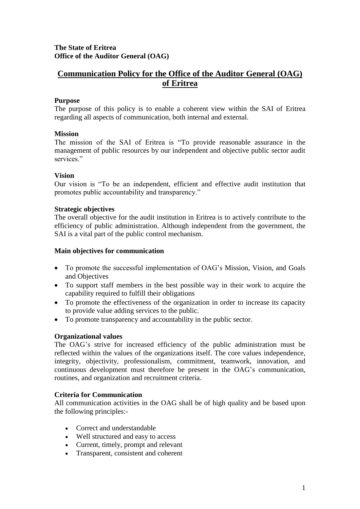# **The State of Eritrea Office of the Auditor General (OAG)**

# **Communication Policy for the Office of the Auditor General (OAG) of Eritrea**

# **Purpose**

The purpose of this policy is to enable a coherent view within the SAI of Eritrea regarding all aspects of communication, both internal and external.

# **Mission**

The mission of the SAI of Eritrea is "To provide reasonable assurance in the management of public resources by our independent and objective public sector audit services."

# **Vision**

Our vision is "To be an independent, efficient and effective audit institution that promotes public accountability and transparency."

#### **Strategic objectives**

The overall objective for the audit institution in Eritrea is to actively contribute to the efficiency of public administration. Although independent from the government, the SAI is a vital part of the public control mechanism.

#### **Main objectives for communication**

- To promote the successful implementation of OAG's Mission, Vision, and Goals and Objectives
- To support staff members in the best possible way in their work to acquire the capability required to fulfill their obligations
- To promote the effectiveness of the organization in order to increase its capacity to provide value adding services to the public.
- To promote transparency and accountability in the public sector.

# **Organizational values**

The OAG's strive for increased efficiency of the public administration must be reflected within the values of the organizations itself. The core values independence, integrity, objectivity, professionalism, commitment, teamwork, innovation, and continuous development must therefore be present in the OAG's communication, routines, and organization and recruitment criteria.

# **Criteria for Communication**

All communication activities in the OAG shall be of high quality and be based upon the following principles:-

- Correct and understandable
- Well structured and easy to access
- Current, timely, prompt and relevant
- Transparent, consistent and coherent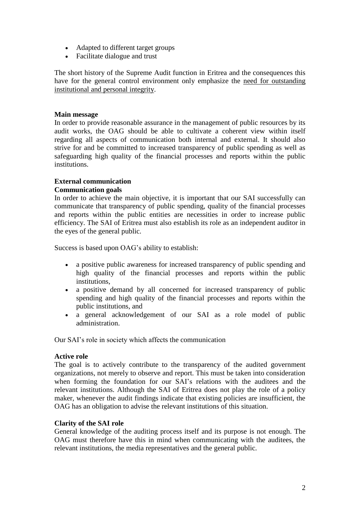- Adapted to different target groups
- Facilitate dialogue and trust

The short history of the Supreme Audit function in Eritrea and the consequences this have for the general control environment only emphasize the need for outstanding institutional and personal integrity.

# **Main message**

In order to provide reasonable assurance in the management of public resources by its audit works, the OAG should be able to cultivate a coherent view within itself regarding all aspects of communication both internal and external. It should also strive for and be committed to increased transparency of public spending as well as safeguarding high quality of the financial processes and reports within the public institutions.

# **External communication**

# **Communication goals**

In order to achieve the main objective, it is important that our SAI successfully can communicate that transparency of public spending, quality of the financial processes and reports within the public entities are necessities in order to increase public efficiency. The SAI of Eritrea must also establish its role as an independent auditor in the eyes of the general public.

Success is based upon OAG's ability to establish:

- a positive public awareness for increased transparency of public spending and high quality of the financial processes and reports within the public institutions,
- a positive demand by all concerned for increased transparency of public spending and high quality of the financial processes and reports within the public institutions, and
- a general acknowledgement of our SAI as a role model of public administration.

Our SAI's role in society which affects the communication

# **Active role**

The goal is to actively contribute to the transparency of the audited government organizations, not merely to observe and report. This must be taken into consideration when forming the foundation for our SAI's relations with the auditees and the relevant institutions. Although the SAI of Eritrea does not play the role of a policy maker, whenever the audit findings indicate that existing policies are insufficient, the OAG has an obligation to advise the relevant institutions of this situation.

# **Clarity of the SAI role**

General knowledge of the auditing process itself and its purpose is not enough. The OAG must therefore have this in mind when communicating with the auditees, the relevant institutions, the media representatives and the general public.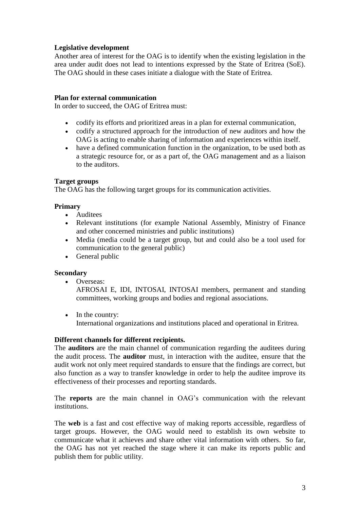# **Legislative development**

Another area of interest for the OAG is to identify when the existing legislation in the area under audit does not lead to intentions expressed by the State of Eritrea (SoE). The OAG should in these cases initiate a dialogue with the State of Eritrea.

#### **Plan for external communication**

In order to succeed, the OAG of Eritrea must:

- codify its efforts and prioritized areas in a plan for external communication,
- codify a structured approach for the introduction of new auditors and how the OAG is acting to enable sharing of information and experiences within itself.
- have a defined communication function in the organization, to be used both as a strategic resource for, or as a part of, the OAG management and as a liaison to the auditors.

#### **Target groups**

The OAG has the following target groups for its communication activities.

#### **Primary**

- Auditees
- Relevant institutions (for example National Assembly, Ministry of Finance and other concerned ministries and public institutions)
- Media (media could be a target group, but and could also be a tool used for communication to the general public)
- General public

#### **Secondary**

• Overseas:

AFROSAI E, IDI, INTOSAI, INTOSAI members, permanent and standing committees, working groups and bodies and regional associations.

• In the country:

International organizations and institutions placed and operational in Eritrea.

#### **Different channels for different recipients.**

The **auditors** are the main channel of communication regarding the auditees during the audit process. The **auditor** must, in interaction with the auditee, ensure that the audit work not only meet required standards to ensure that the findings are correct, but also function as a way to transfer knowledge in order to help the auditee improve its effectiveness of their processes and reporting standards.

The **reports** are the main channel in OAG's communication with the relevant institutions.

The **web** is a fast and cost effective way of making reports accessible, regardless of target groups. However, the OAG would need to establish its own website to communicate what it achieves and share other vital information with others. So far, the OAG has not yet reached the stage where it can make its reports public and publish them for public utility.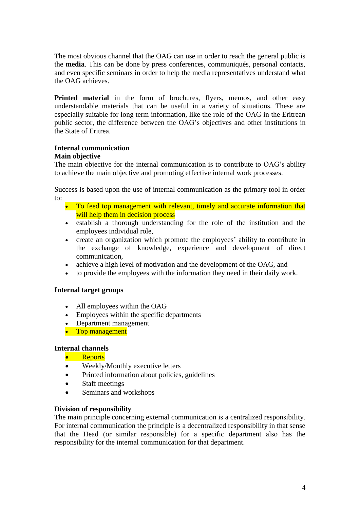The most obvious channel that the OAG can use in order to reach the general public is the **media**. This can be done by press conferences, communiqués, personal contacts, and even specific seminars in order to help the media representatives understand what the OAG achieves.

**Printed material** in the form of brochures, flyers, memos, and other easy understandable materials that can be useful in a variety of situations. These are especially suitable for long term information, like the role of the OAG in the Eritrean public sector, the difference between the OAG's objectives and other institutions in the State of Eritrea.

# **Internal communication**

# **Main objective**

The main objective for the internal communication is to contribute to OAG's ability to achieve the main objective and promoting effective internal work processes.

Success is based upon the use of internal communication as the primary tool in order to:

- To feed top management with relevant, timely and accurate information that will help them in decision process
- establish a thorough understanding for the role of the institution and the employees individual role,
- create an organization which promote the employees' ability to contribute in the exchange of knowledge, experience and development of direct communication,
- achieve a high level of motivation and the development of the OAG, and
- to provide the employees with the information they need in their daily work.

# **Internal target groups**

- All employees within the OAG
- Employees within the specific departments
- Department management
- Top management

# **Internal channels**

- **•** Reports
- Weekly/Monthly executive letters
- Printed information about policies, guidelines
- Staff meetings
- Seminars and workshops

# **Division of responsibility**

The main principle concerning external communication is a centralized responsibility. For internal communication the principle is a decentralized responsibility in that sense that the Head (or similar responsible) for a specific department also has the responsibility for the internal communication for that department.